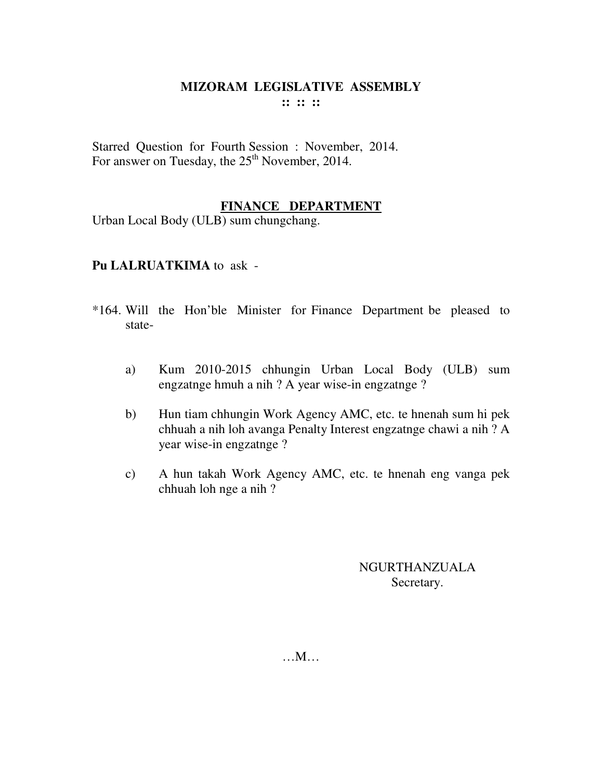## **MIZORAM LEGISLATIVE ASSEMBLY :: :: ::**

Starred Question for Fourth Session : November, 2014. For answer on Tuesday, the  $25<sup>th</sup>$  November, 2014.

## **FINANCE DEPARTMENT**

Urban Local Body (ULB) sum chungchang.

### **Pu LALRUATKIMA** to ask -

- \*164. Will the Hon'ble Minister for Finance Department be pleased to state
	- a) Kum 2010-2015 chhungin Urban Local Body (ULB) sum engzatnge hmuh a nih ? A year wise-in engzatnge ?
	- b) Hun tiam chhungin Work Agency AMC, etc. te hnenah sum hi pek chhuah a nih loh avanga Penalty Interest engzatnge chawi a nih ? A year wise-in engzatnge ?
	- c) A hun takah Work Agency AMC, etc. te hnenah eng vanga pek chhuah loh nge a nih ?

## NGURTHANZUALA Secretary.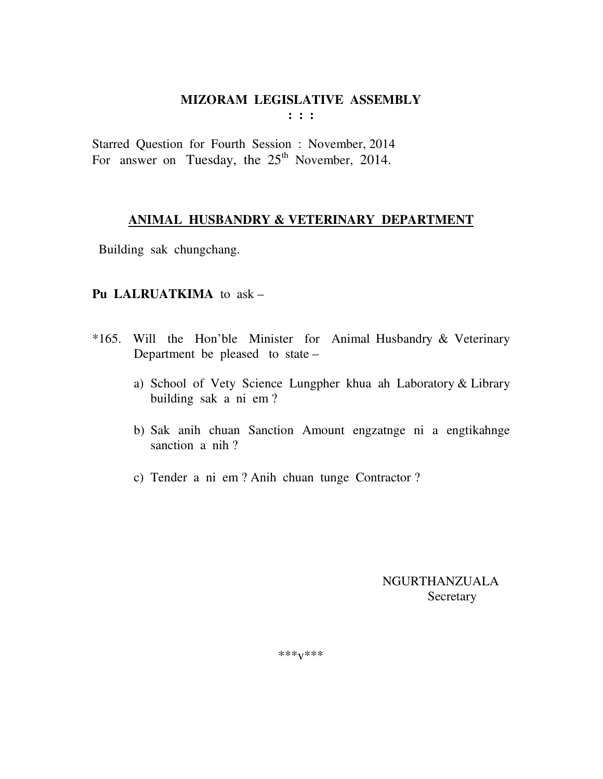# **MIZORAM LEGISLATIVE ASSEMBLY**

**: : :** 

Starred Question for Fourth Session : November, 2014 For answer on Tuesday, the  $25<sup>th</sup>$  November, 2014.

### **ANIMAL HUSBANDRY & VETERINARY DEPARTMENT**

Building sak chungchang.

## **Pu LALRUATKIMA** to ask –

- \*165. Will the Hon'ble Minister for Animal Husbandry & Veterinary Department be pleased to state –
	- a) School of Vety Science Lungpher khua ah Laboratory & Library building sak a ni em ?
	- b) Sak anih chuan Sanction Amount engzatnge ni a engtikahnge sanction a nih ?
	- c) Tender a ni em ? Anih chuan tunge Contractor ?

 NGURTHANZUALA **Secretary** 

\*\*\*v\*\*\*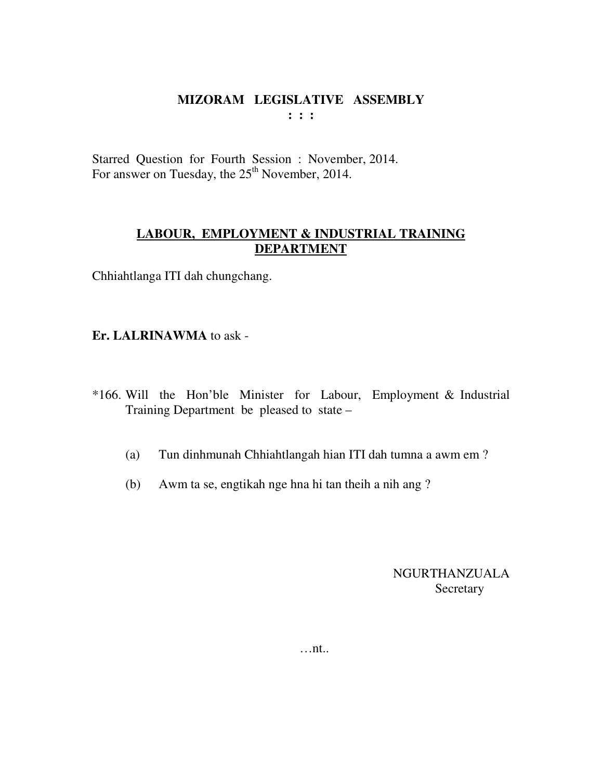#### **MIZORAM LEGISLATIVE ASSEMBLY : : :**

Starred Question for Fourth Session : November, 2014. For answer on Tuesday, the 25<sup>th</sup> November, 2014.

## **LABOUR, EMPLOYMENT & INDUSTRIAL TRAINING DEPARTMENT**

Chhiahtlanga ITI dah chungchang.

### **Er. LALRINAWMA** to ask -

- \*166. Will the Hon'ble Minister for Labour, Employment & Industrial Training Department be pleased to state –
	- (a) Tun dinhmunah Chhiahtlangah hian ITI dah tumna a awm em ?
	- (b) Awm ta se, engtikah nge hna hi tan theih a nih ang ?

NGURTHANZUALA Secretary

…nt..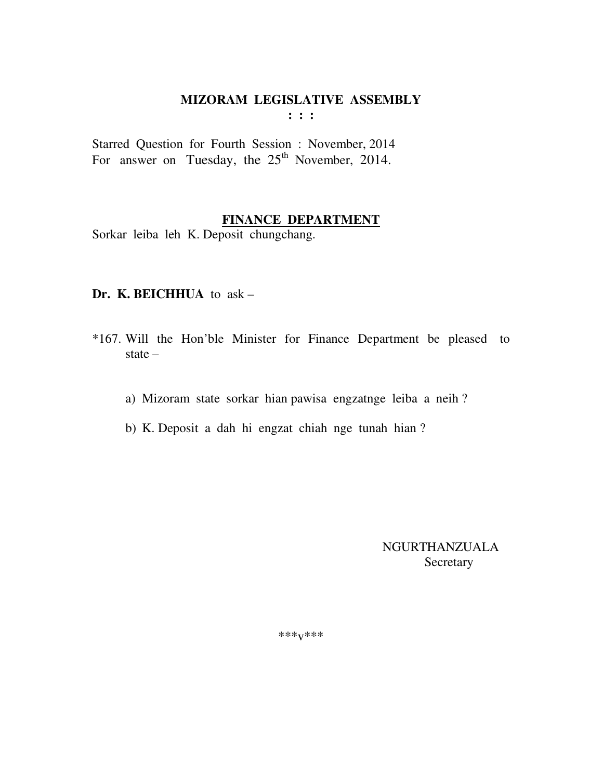# **MIZORAM LEGISLATIVE ASSEMBLY**

**: : :** 

Starred Question for Fourth Session : November, 2014 For answer on Tuesday, the  $25<sup>th</sup>$  November, 2014.

## **FINANCE DEPARTMENT**

Sorkar leiba leh K. Deposit chungchang.

### **Dr. K. BEICHHUA** to ask –

- \*167. Will the Hon'ble Minister for Finance Department be pleased to state –
	- a) Mizoram state sorkar hian pawisa engzatnge leiba a neih ?
	- b) K. Deposit a dah hi engzat chiah nge tunah hian ?

 NGURTHANZUALA Secretary

\*\*\*v\*\*\*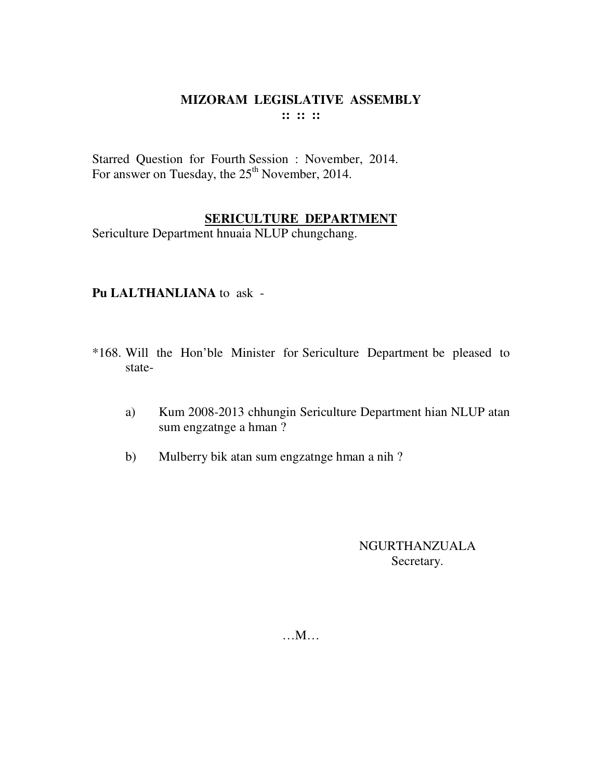### MIZORAM LEGISLATIVE ASSEMBLY  $\mathbf{11} \mathbf{11} \mathbf{11}$

Starred Question for Fourth Session : November, 2014. For answer on Tuesday, the 25<sup>th</sup> November, 2014.

## **SERICULTURE DEPARTMENT**

Sericulture Department hnuaia NLUP chungchang.

## Pu LALTHANLIANA to ask -

- \*168. Will the Hon'ble Minister for Sericulture Department be pleased to state-
	- Kum 2008-2013 chhungin Sericulture Department hian NLUP atan  $a)$ sum engzatnge a hman?
	- Mulberry bik atan sum engzatnge hman a nih?  $b)$

## NGURTHANZUALA Secretary.

 $...M...$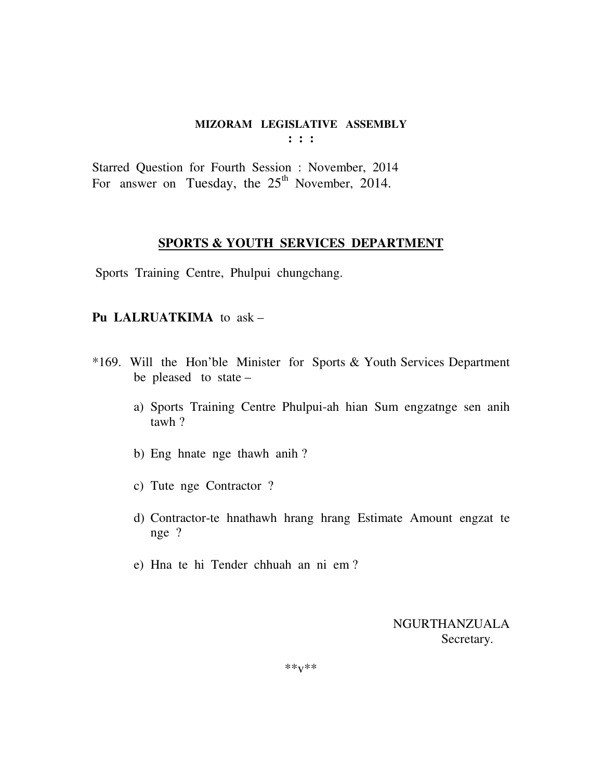#### **MIZORAM LEGISLATIVE ASSEMBLY : : :**

Starred Question for Fourth Session : November, 2014 For answer on Tuesday, the  $25<sup>th</sup>$  November, 2014.

#### **SPORTS & YOUTH SERVICES DEPARTMENT**

Sports Training Centre, Phulpui chungchang.

### **Pu LALRUATKIMA** to ask –

- \*169. Will the Hon'ble Minister for Sports & Youth Services Department be pleased to state –
	- a) Sports Training Centre Phulpui-ah hian Sum engzatnge sen anih tawh ?
	- b) Eng hnate nge thawh anih ?
	- c) Tute nge Contractor ?
	- d) Contractor-te hnathawh hrang hrang Estimate Amount engzat te nge ?
	- e) Hna te hi Tender chhuah an ni em ?

NGURTHANZUALA Secretary.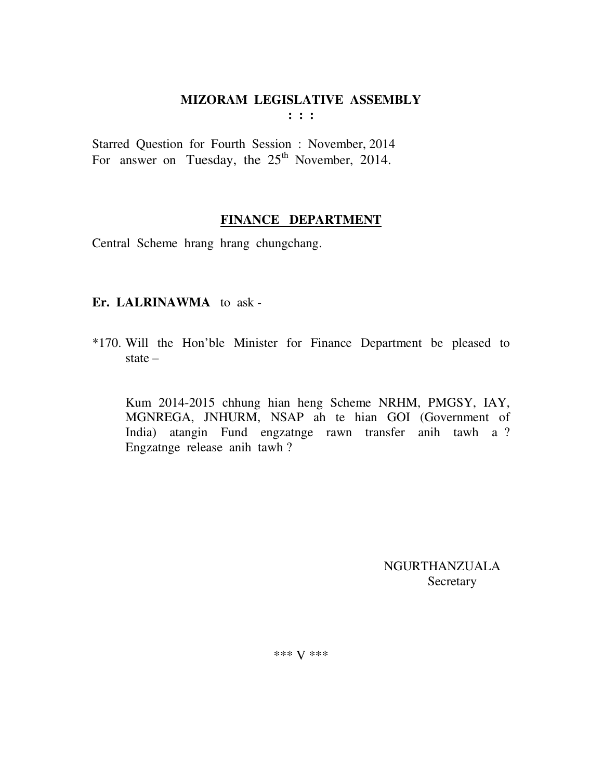# MIZORAM LEGISLATIVE ASSEMBLY

 $\mathbf{1}$   $\mathbf{1}$   $\mathbf{1}$ 

Starred Question for Fourth Session : November, 2014 For answer on Tuesday, the 25<sup>th</sup> November, 2014.

## FINANCE DEPARTMENT

Central Scheme hrang hrang chungchang.

## Er. LALRINAWMA to ask-

\*170. Will the Hon'ble Minister for Finance Department be pleased to state  $-$ 

Kum 2014-2015 chhung hian heng Scheme NRHM, PMGSY, IAY, MGNREGA, JNHURM, NSAP ah te hian GOI (Government of India) atangin Fund engzatnge rawn transfer anih tawh a ? Engzatnge release anih tawh?

> **NGURTHANZUALA** Secretary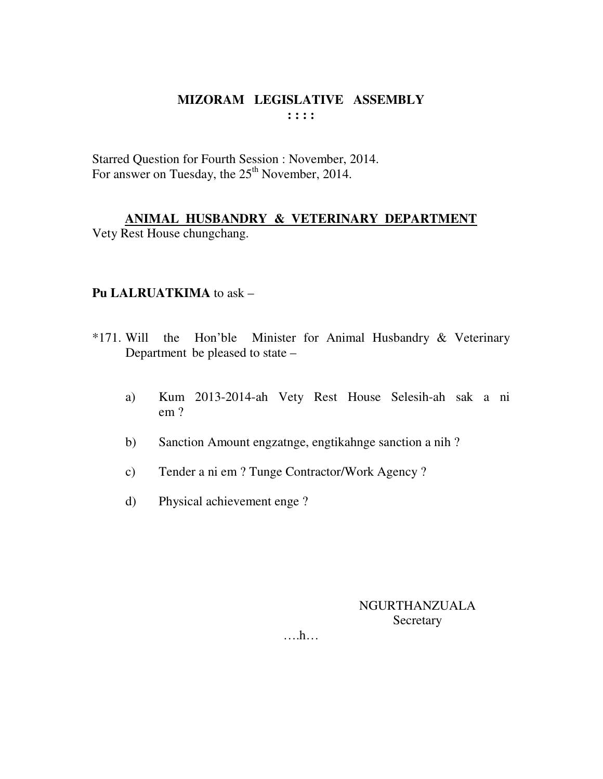### MIZORAM LEGISLATIVE ASSEMBLY  $: : : :$

Starred Question for Fourth Session : November, 2014. For answer on Tuesday, the 25<sup>th</sup> November, 2014.

ANIMAL HUSBANDRY & VETERINARY DEPARTMENT Vety Rest House chungchang.

### Pu LALRUATKIMA to ask -

- $*171$ . Will the Hon'ble Minister for Animal Husbandry & Veterinary Department be pleased to state -
	- Kum 2013-2014-ah Vety Rest House Selesih-ah sak a ni a)  $em<sub>2</sub>$
	- Sanction Amount engzatnge, engtikahnge sanction a nih?  $b)$
	- Tender a ni em ? Tunge Contractor/Work Agency ?  $c)$
	- $\mathbf{d}$ Physical achievement enge?

NGURTHANZUALA Secretary

 $\dots$ ...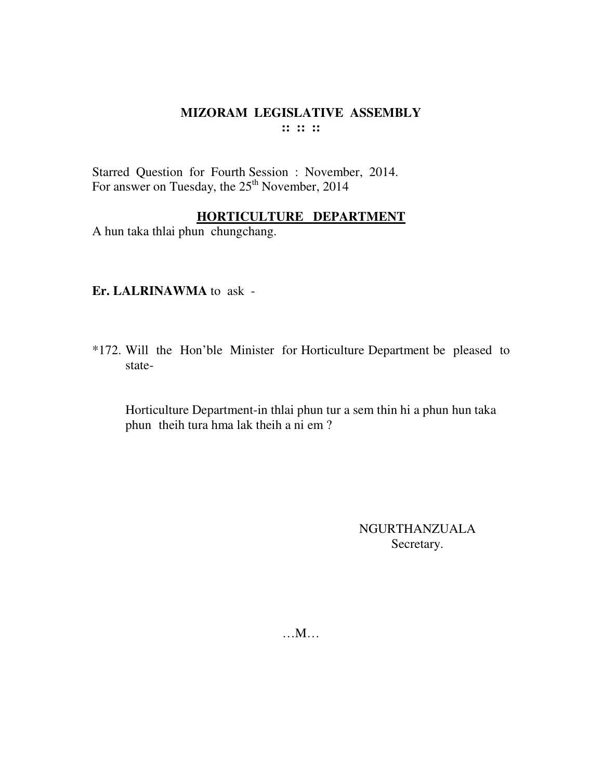## **MIZORAM LEGISLATIVE ASSEMBLY :: :: ::**

Starred Question for Fourth Session : November, 2014. For answer on Tuesday, the  $25<sup>th</sup>$  November, 2014

## **HORTICULTURE DEPARTMENT**

A hun taka thlai phun chungchang.

## **Er. LALRINAWMA** to ask -

\*172. Will the Hon'ble Minister for Horticulture Department be pleased to state-

 Horticulture Department-in thlai phun tur a sem thin hi a phun hun taka phun theih tura hma lak theih a ni em ?

> NGURTHANZUALA Secretary.

…M…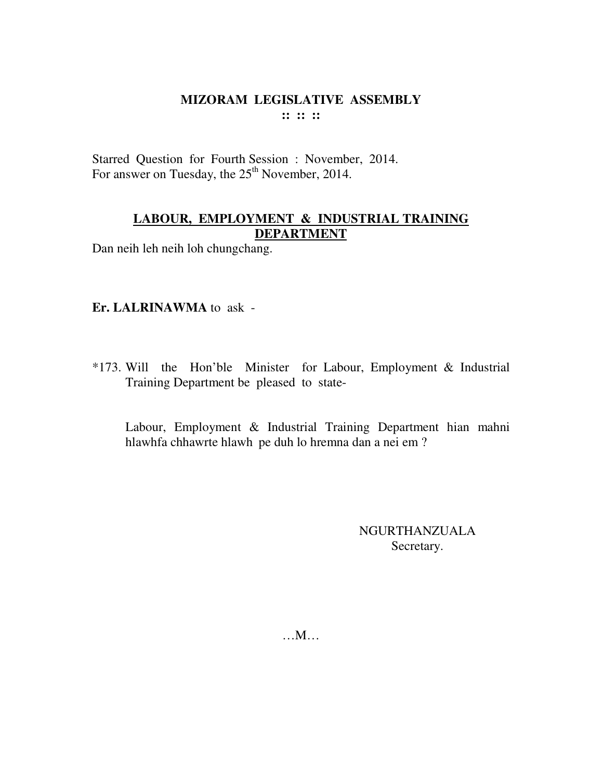### **MIZORAM LEGISLATIVE ASSEMBLY :: :: ::**

Starred Question for Fourth Session : November, 2014. For answer on Tuesday, the 25<sup>th</sup> November, 2014.

## **LABOUR, EMPLOYMENT & INDUSTRIAL TRAINING DEPARTMENT**

Dan neih leh neih loh chungchang.

## **Er. LALRINAWMA** to ask -

\*173. Will the Hon'ble Minister for Labour, Employment & Industrial Training Department be pleased to state-

 Labour, Employment & Industrial Training Department hian mahni hlawhfa chhawrte hlawh pe duh lo hremna dan a nei em ?

> NGURTHANZUALA Secretary.

…M…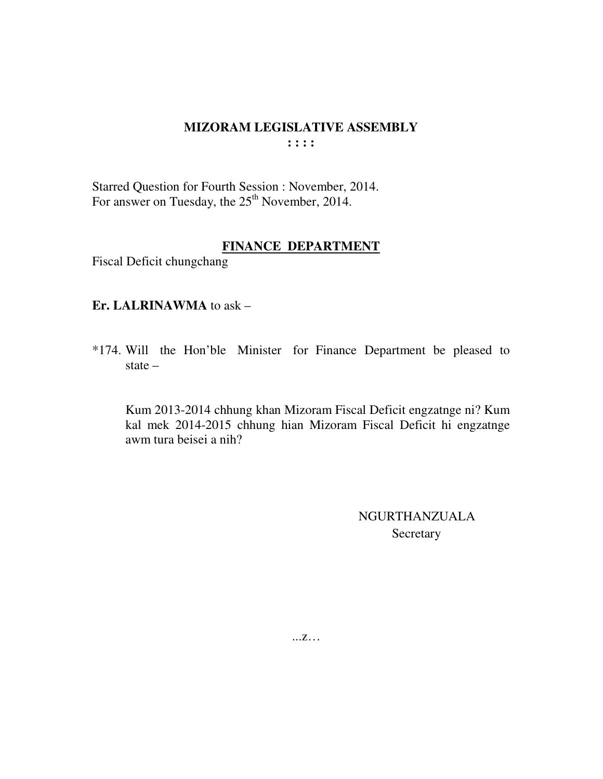### **MIZORAM LEGISLATIVE ASSEMBLY : : : :**

Starred Question for Fourth Session : November, 2014. For answer on Tuesday, the 25<sup>th</sup> November, 2014.

### **FINANCE DEPARTMENT**

Fiscal Deficit chungchang

### **Er. LALRINAWMA** to ask –

\*174. Will the Hon'ble Minister for Finance Department be pleased to state –

 Kum 2013-2014 chhung khan Mizoram Fiscal Deficit engzatnge ni? Kum kal mek 2014-2015 chhung hian Mizoram Fiscal Deficit hi engzatnge awm tura beisei a nih?

> NGURTHANZUALA **Secretary**

...z…